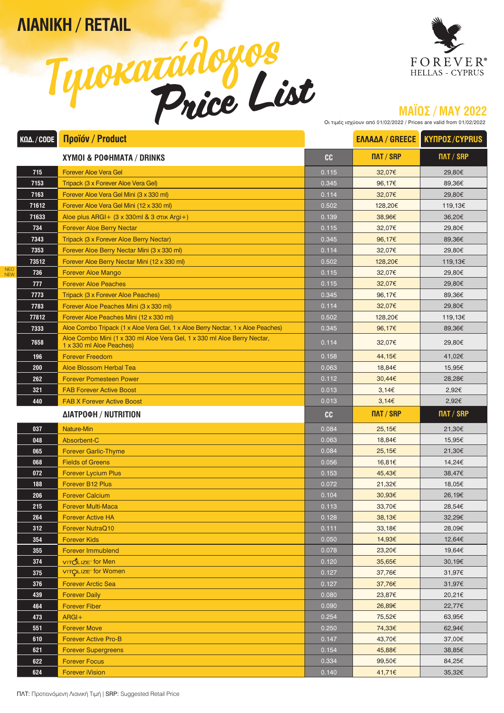**ΛΙΑΝΙΚΗ / RETAIL** 





## **ΜΑΪΟΣ / MAY 2022**

Οι τιμές ισχύουν από 01/02/2022 / Prices are valid from 01/02/2022

| KΩΔ. / CODE       | Προϊόν / Product                                                                                     |       | <b>ΕΛΛΑΔΑ / GREECE</b> | <b>KYNPOZ/CYPRUS</b> |
|-------------------|------------------------------------------------------------------------------------------------------|-------|------------------------|----------------------|
|                   | XYMOI & POOHMATA / DRINKS                                                                            | cc    | ПЛТ / SRP              | ПЛТ / SRP            |
| 715               | <b>Forever Aloe Vera Gel</b>                                                                         | 0.115 | 32,07€                 | 29,80€               |
| 7153              | Tripack (3 x Forever Aloe Vera Gel)                                                                  | 0.345 | 96,17€                 | 89,36€               |
| 7163              | Forever Aloe Vera Gel Mini (3 x 330 ml)                                                              | 0.114 | 32,07€                 | 29,80€               |
| 71612             | Forever Aloe Vera Gel Mini (12 x 330 ml)                                                             | 0.502 | 128,20€                | 119,13€              |
| 71633             | Aloe plus $ARGI + (3 \times 330 \text{ml } 8 \times 3 \text{ oruk } Argi+)$                          | 0.139 | 38.96€                 | 36,20€               |
| 734               | <b>Forever Aloe Berry Nectar</b>                                                                     | 0.115 | 32,07€                 | 29.80€               |
| 7343              | Tripack (3 x Forever Aloe Berry Nectar)                                                              | 0.345 | 96,17€                 | 89,36€               |
| 7353              | Forever Aloe Berry Nectar Mini (3 x 330 ml)                                                          | 0.114 | 32,07€                 | 29,80€               |
| 73512             | Forever Aloe Berry Nectar Mini (12 x 330 ml)                                                         | 0.502 | 128,20€                | 119,13€              |
| NEO<br>NEW<br>736 | <b>Forever Aloe Mango</b>                                                                            | 0.115 | 32,07€                 | 29,80€               |
| 777               | <b>Forever Aloe Peaches</b>                                                                          | 0.115 | 32,07€                 | 29,80€               |
| 7773              | Tripack (3 x Forever Aloe Peaches)                                                                   | 0.345 | 96,17€                 | 89,36€               |
| 7783              | Forever Aloe Peaches Mini (3 x 330 ml)                                                               | 0.114 | 32,07€                 | 29,80€               |
| 77812             | Forever Aloe Peaches Mini (12 x 330 ml)                                                              | 0.502 | 128,20€                | 119,13€              |
| 7333              | Aloe Combo Tripack (1 x Aloe Vera Gel, 1 x Aloe Berry Nectar, 1 x Aloe Peaches)                      | 0.345 | 96,17€                 | 89,36€               |
| 7658              | Aloe Combo Mini (1 x 330 ml Aloe Vera Gel, 1 x 330 ml Aloe Berry Nectar,<br>1 x 330 ml Aloe Peaches) | 0.114 | 32,07€                 | 29,80€               |
| 196               | <b>Forever Freedom</b>                                                                               | 0.158 | 44,15€                 | 41,02€               |
| 200               | Aloe Blossom Herbal Tea                                                                              | 0.063 | 18,84€                 | 15,95€               |
| 262               | <b>Forever Pomesteen Power</b>                                                                       | 0.112 | 30,44€                 | 28,28€               |
| 321               | <b>FAB Forever Active Boost</b>                                                                      | 0.013 | 3,146                  | 2,92€                |
| 440               | <b>FAB X Forever Active Boost</b>                                                                    | 0.013 | 3,146                  | 2,92€                |
|                   | <b>ΔΙΑΤΡΟΦΗ / NUTRITION</b>                                                                          | cc    | $\overline{IMT}/$ SRP  | ПЛТ / SRP            |
| 037               | <b>Nature-Min</b>                                                                                    | 0.084 | 25,15€                 | 21,30€               |
| 048               | Absorbent-C                                                                                          | 0.063 | 18,84€                 | 15,95€               |
| 065               | <b>Forever Garlic-Thyme</b>                                                                          | 0.084 | 25,15€                 | 21,30€               |
| 068               | <b>Fields of Greens</b>                                                                              | 0.056 | 16,81€                 | 14,24€               |
| 072               | <b>Forever Lycium Plus</b>                                                                           | 0.153 | 45,43€                 | 38,47€               |
| 188               | <b>Forever B12 Plus</b>                                                                              | 0.072 | 21,32€                 | 18,05€               |
| 206               | <b>Forever Calcium</b>                                                                               | 0.104 | 30,93€                 | 26,19€               |
| 215               | <b>Forever Multi-Maca</b>                                                                            | 0.113 | 33,70€                 | 28,54€               |
| 264               | <b>Forever Active HA</b>                                                                             | 0.128 | 38,13€                 | 32,29€               |
| 312               | <b>Forever NutraQ10</b>                                                                              | 0.111 | 33,18€                 | 28,09€               |
| 354               | <b>Forever Kids</b>                                                                                  | 0.050 | 14,93€                 | 12,64€               |
| 355               | <b>Forever Immublend</b>                                                                             | 0.078 | 23,20€                 | 19,64€               |
| 374               | νιτόλιz <sub>E</sub> for Men                                                                         | 0.120 | 35,65€                 | 30,19€               |
| 375               | <b>VITOLIZE</b> for Women                                                                            | 0.127 | 37,76€                 | 31,97€               |
| 376               | <b>Forever Arctic Sea</b>                                                                            | 0.127 | 37,76€                 | 31,97€               |
| 439               | <b>Forever Daily</b>                                                                                 | 0.080 | 23,87€                 | 20,21€               |
| 464               | <b>Forever Fiber</b>                                                                                 | 0.090 | 26,89€                 | 22,77€               |
| 473               | $ARGI+$                                                                                              | 0.254 | 75,52€                 | 63,95€               |
| 551               | <b>Forever Move</b>                                                                                  | 0.250 | 74,33€                 | 62,94€               |
| 610               | <b>Forever Active Pro-B</b>                                                                          | 0.147 | 43,70€                 | 37,00€               |
| 621               | <b>Forever Supergreens</b>                                                                           | 0.154 | 45,88€                 | 38,85€               |
| 622               | <b>Forever Focus</b>                                                                                 | 0.334 | 99,50€                 | 84,25€               |
| 624               | <b>Forever iVision</b>                                                                               | 0.140 | 41,71€                 | 35,32€               |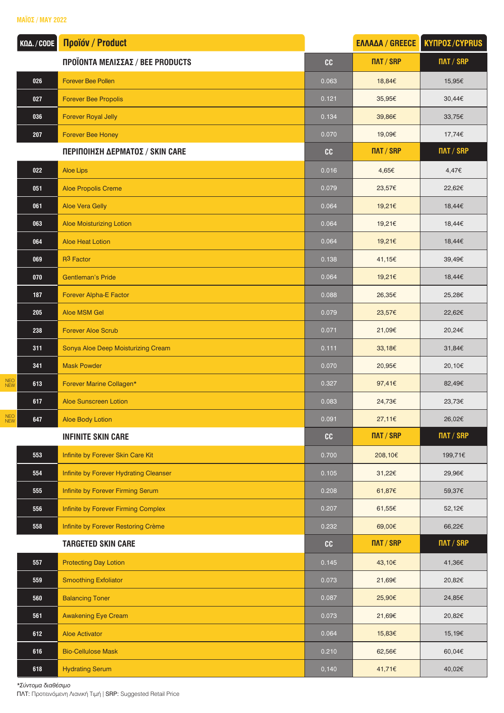## **ΜΑΪΟΣ / MAY 2022**

| ΚΩΔ. / CODE       | <b><i><u>Noüóv / Product</u></i></b>   |       | <b>ΕΛΛΑΔΑ / GREECE</b> | <b>ΚΥΠΡΟΣ/CYPRUS</b> |
|-------------------|----------------------------------------|-------|------------------------|----------------------|
|                   | ΠΡΟΪΟΝΤΑ ΜΕΛΙΣΣΑΣ / ΒΕΕ PRODUCTS       | cc    | ПЛТ / SRP              | <b>NAT / SRP</b>     |
| 026               | <b>Forever Bee Pollen</b>              | 0.063 | 18,84€                 | 15,95€               |
| 027               | <b>Forever Bee Propolis</b>            | 0.121 | 35,95€                 | 30,44€               |
| 036               | <b>Forever Royal Jelly</b>             | 0.134 | 39,86€                 | 33,75€               |
| 207               | <b>Forever Bee Honey</b>               | 0.070 | 19,09€                 | 17,74€               |
|                   | ΠΕΡΙΠΟΙΗΣΗ ΔΕΡΜΑΤΟΣ / SKIN CARE        | cc    | ПЛТ / SRP              | ПАТ / SRP            |
| 022               | <b>Aloe Lips</b>                       | 0.016 | 4,65€                  | 4,47€                |
| 051               | Aloe Propolis Creme                    | 0.079 | 23,57€                 | 22,62€               |
| 061               | <b>Aloe Vera Gelly</b>                 | 0.064 | 19,21€                 | 18,44€               |
| 063               | <b>Aloe Moisturizing Lotion</b>        | 0.064 | 19,21€                 | 18,44€               |
| 064               | <b>Aloe Heat Lotion</b>                | 0.064 | 19,21€                 | 18,44€               |
| 069               | R <sub>3</sub> Factor                  | 0.138 | 41,15€                 | 39,49€               |
| 070               | <b>Gentleman's Pride</b>               | 0.064 | 19,21€                 | 18,44€               |
| 187               | <b>Forever Alpha-E Factor</b>          | 0.088 | 26,35€                 | 25,28€               |
| 205               | Aloe MSM Gel                           | 0.079 | 23,57€                 | 22,62€               |
| 238               | <b>Forever Aloe Scrub</b>              | 0.071 | 21,09€                 | 20,24€               |
| 311               | Sonya Aloe Deep Moisturizing Cream     | 0.111 | 33,18€                 | 31,84€               |
| 341               | <b>Mask Powder</b>                     | 0.070 | 20,95€                 | 20,10€               |
| NEO<br>NEW<br>613 | Forever Marine Collagen*               | 0.327 | 97,41€                 | 82,49€               |
| 617               | <b>Aloe Sunscreen Lotion</b>           | 0.083 | 24,73€                 | 23,73€               |
| NEO<br>NEW<br>647 | <b>Aloe Body Lotion</b>                | 0.091 | 27,11€                 | 26,02€               |
|                   | <b>INFINITE SKIN CARE</b>              | cc    | ПЛТ / SRP              | <b>NAT / SRP</b>     |
| 553               | Infinite by Forever Skin Care Kit      | 0.700 | 208,10€                | 199,71€              |
| 554               | Infinite by Forever Hydrating Cleanser | 0.105 | 31,22€                 | 29,96€               |
| 555               | Infinite by Forever Firming Serum      | 0.208 | 61,87€                 | 59,37€               |
| 556               | Infinite by Forever Firming Complex    | 0.207 | 61,55€                 | 52,12€               |
| 558               | Infinite by Forever Restoring Crème    | 0.232 | 69,00€                 | 66,22€               |
|                   | <b>TARGETED SKIN CARE</b>              | cc    | ПЛТ / SRP              | <b>NAT / SRP</b>     |
| 557               | <b>Protecting Day Lotion</b>           | 0.145 | 43,10€                 | 41,36€               |
| 559               | <b>Smoothing Exfoliator</b>            | 0.073 | 21,69€                 | 20,82€               |
| 560               | <b>Balancing Toner</b>                 | 0.087 | 25,90€                 | 24,85€               |
| 561               | <b>Awakening Eye Cream</b>             | 0.073 | 21,69€                 | 20,82€               |
| 612               | <b>Aloe Activator</b>                  | 0.064 | 15,83€                 | 15,19€               |
| 616               | <b>Bio-Cellulose Mask</b>              | 0.210 | 62,56€                 | 60,04€               |
| 618               | <b>Hydrating Serum</b>                 | 0,140 | 41,71€                 | 40,02€               |

*\*Σύντομα διαθέσιμο*

ΠΛΤ: Προτεινόμενη Λιανική Τιμή | SRP: Suggested Retail Price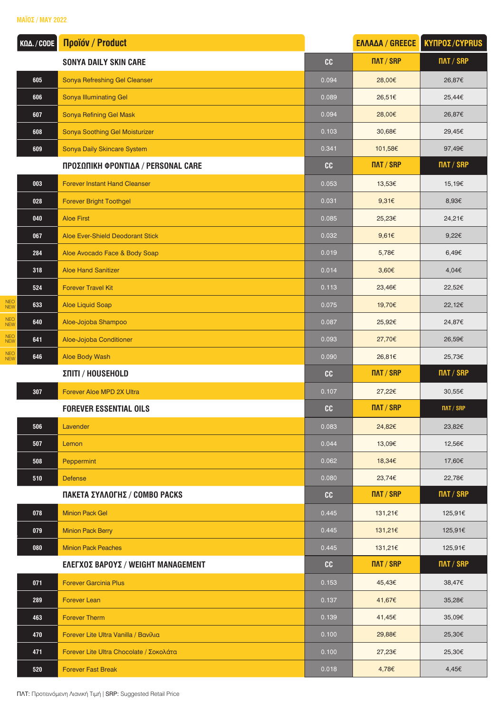**ΜΑΪΟΣ / MAY 2022**

| ΚΩΔ. / CODE                     | <b><i><u>Noüóv / Product</u></i></b>    |       | <b>ΕΛΛΑΔΑ / GREECE</b> | <b>ΚΥΠΡΟΣ/CYPRUS</b> |
|---------------------------------|-----------------------------------------|-------|------------------------|----------------------|
|                                 | <b>SONYA DAILY SKIN CARE</b>            | cc    | ПЛТ / SRP              | <b>NAT / SRP</b>     |
| 605                             | Sonya Refreshing Gel Cleanser           | 0.094 | 28,00€                 | 26,87€               |
| 606                             | <b>Sonya Illuminating Gel</b>           | 0.089 | 26,51€                 | 25,44€               |
| 607                             | Sonya Refining Gel Mask                 | 0.094 | 28,00€                 | 26,87€               |
| 608                             | Sonya Soothing Gel Moisturizer          | 0.103 | 30,68€                 | 29,45€               |
| 609                             | Sonya Daily Skincare System             | 0.341 | 101,58€                | 97,49€               |
|                                 | ΠΡΟΣΩΠΙΚΗ ΦΡΟΝΤΙΔΑ / PERSONAL CARE      | cc    | ПЛТ / SRP              | ПЛТ / SRP            |
| 003                             | <b>Forever Instant Hand Cleanser</b>    | 0.053 | 13,53€                 | 15,19€               |
| 028                             | <b>Forever Bright Toothgel</b>          | 0.031 | 9,31€                  | 8,93€                |
| 040                             | <b>Aloe First</b>                       | 0.085 | 25,23€                 | 24,21€               |
| 067                             | <b>Aloe Ever-Shield Deodorant Stick</b> | 0.032 | 9,61 $\varepsilon$     | 9,22 $\epsilon$      |
| 284                             | Aloe Avocado Face & Body Soap           | 0.019 | 5,78€                  | 6,49€                |
| 318                             | <b>Aloe Hand Sanitizer</b>              | 0.014 | 3,60€                  | 4,04€                |
| 524                             | <b>Forever Travel Kit</b>               | 0.113 | 23,46€                 | 22,52€               |
| <b>NEO</b><br>633<br><b>NEW</b> | Aloe Liquid Soap                        | 0.075 | 19,70€                 | 22,12€               |
| NEO<br>NEW<br>640               | Aloe-Jojoba Shampoo                     | 0.087 | 25,92€                 | 24,87€               |
| NEO<br>NEW<br>641               | Aloe-Jojoba Conditioner                 | 0.093 | 27,70€                 | 26,59€               |
| NEO<br>NEW<br>646               | Aloe Body Wash                          | 0.090 | 26,81€                 | 25,73€               |
|                                 | ΣΠΙΤΙ / HOUSEHOLD                       | cc    | ПЛТ / SRP              | <b>NAT / SRP</b>     |
| 307                             | Forever Aloe MPD 2X Ultra               | 0.107 | 27,22€                 | 30,55€               |
|                                 | <b>FOREVER ESSENTIAL OILS</b>           | cc    | ПЛТ / SRP              | <b>NAT / SRP</b>     |
| 506                             | Lavender                                | 0.083 | 24,82€                 | 23,82€               |
| 507                             | Lemon                                   | 0.044 | 13,09€                 | 12,56€               |
| 508                             | Peppermint                              | 0.062 | 18,34€                 | 17,60€               |
| 510                             | <b>Defense</b>                          | 0.080 | 23,74€                 | 22,78€               |
|                                 | ΠΑΚΕΤΑ ΣΥΛΛΟΓΗΣ / COMBO PACKS           | cc    | $\overline{IMT}/$ SRP  | ПЛТ / SRP            |
| 078                             | <b>Minion Pack Gel</b>                  | 0.445 | 131,21€                | 125,91€              |
| 079                             | <b>Minion Pack Berry</b>                | 0.445 | 131,21€                | 125,91€              |
| 080                             | <b>Minion Pack Peaches</b>              | 0.445 | 131,21€                | 125,91€              |
|                                 | ΕΛΕΓΧΟΣ ΒΑΡΟΥΣ / WEIGHT MANAGEMENT      | cc    | ПЛТ / SRP              | ПЛТ / SRP            |
| 071                             | <b>Forever Garcinia Plus</b>            | 0.153 | 45,43€                 | 38,47€               |
| 289                             | <b>Forever Lean</b>                     | 0.137 | 41,67€                 | 35,28€               |
| 463                             | <b>Forever Therm</b>                    | 0.139 | 41,45€                 | 35,09€               |
| 470                             | Forever Lite Ultra Vanilla / Βανίλια    | 0.100 | 29,88€                 | 25,30€               |
| 471                             | Forever Lite Ultra Chocolate / Σοκολάτα | 0.100 | 27,23€                 | 25,30€               |
| 520                             | <b>Forever Fast Break</b>               | 0.018 | 4,78€                  | 4,45€                |